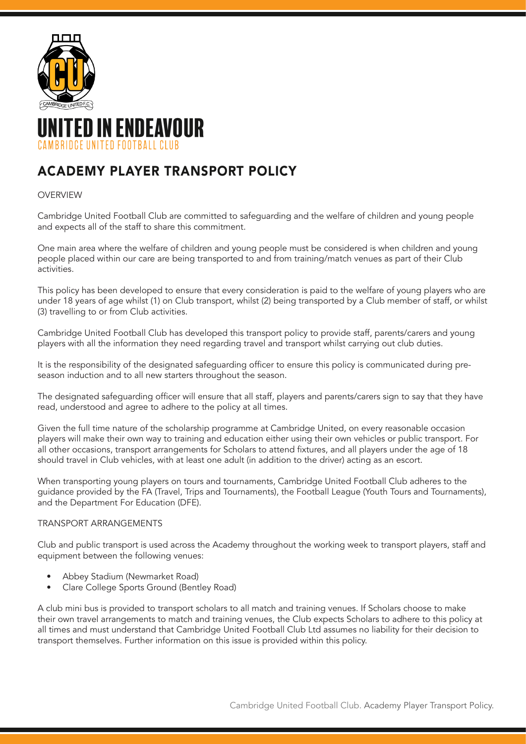

# TED IN ENDEAVOUR RRIDCE UNITED FOOTRALL CLUR

# ACADEMY PLAYER TRANSPORT POLICY

# OVERVIEW

Cambridge United Football Club are committed to safeguarding and the welfare of children and young people and expects all of the staff to share this commitment.

One main area where the welfare of children and young people must be considered is when children and young people placed within our care are being transported to and from training/match venues as part of their Club activities.

This policy has been developed to ensure that every consideration is paid to the welfare of young players who are under 18 years of age whilst (1) on Club transport, whilst (2) being transported by a Club member of staff, or whilst (3) travelling to or from Club activities.

Cambridge United Football Club has developed this transport policy to provide staff, parents/carers and young players with all the information they need regarding travel and transport whilst carrying out club duties.

It is the responsibility of the designated safeguarding officer to ensure this policy is communicated during preseason induction and to all new starters throughout the season.

The designated safeguarding officer will ensure that all staff, players and parents/carers sign to say that they have read, understood and agree to adhere to the policy at all times.

Given the full time nature of the scholarship programme at Cambridge United, on every reasonable occasion players will make their own way to training and education either using their own vehicles or public transport. For all other occasions, transport arrangements for Scholars to attend fixtures, and all players under the age of 18 should travel in Club vehicles, with at least one adult (in addition to the driver) acting as an escort.

When transporting young players on tours and tournaments, Cambridge United Football Club adheres to the guidance provided by the FA (Travel, Trips and Tournaments), the Football League (Youth Tours and Tournaments), and the Department For Education (DFE).

## TRANSPORT ARRANGEMENTS

Club and public transport is used across the Academy throughout the working week to transport players, staff and equipment between the following venues:

- Abbey Stadium (Newmarket Road)
- Clare College Sports Ground (Bentley Road)

A club mini bus is provided to transport scholars to all match and training venues. If Scholars choose to make their own travel arrangements to match and training venues, the Club expects Scholars to adhere to this policy at all times and must understand that Cambridge United Football Club Ltd assumes no liability for their decision to transport themselves. Further information on this issue is provided within this policy.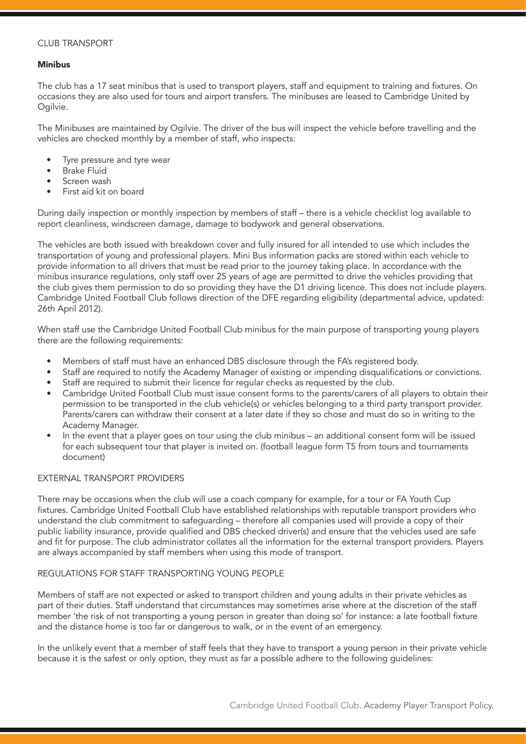### CLUB TRANSPORT

### Minibus

The club has a 17 seat minibus that is used to transport players, staff and equipment to training and fixtures. On occasions they are also used for tours and airport transfers. The minibuses are leased to Cambridge United by Ogilvie.

The Minibuses are maintained by Ogilvie. The driver of the bus will inspect the vehicle before travelling and the vehicles are checked monthly by a member of staff, who inspects:

- Tyre pressure and tyre wear
- Brake Fluid
- Screen wash
- First aid kit on board

During daily inspection or monthly inspection by members of staff – there is a vehicle checklist log available to report cleanliness, windscreen damage, damage to bodywork and general observations.

The vehicles are both issued with breakdown cover and fully insured for all intended to use which includes the transportation of young and professional players. Mini Bus information packs are stored within each vehicle to provide information to all drivers that must be read prior to the journey taking place. In accordance with the minibus insurance regulations, only staff over 25 years of age are permitted to drive the vehicles providing that the club gives them permission to do so providing they have the D1 driving licence. This does not include players. Cambridge United Football Club follows direction of the DFE regarding eligibility (departmental advice, updated: 26th April 2012).

When staff use the Cambridge United Football Club minibus for the main purpose of transporting young players there are the following requirements:

- Members of staff must have an enhanced DBS disclosure through the FA's registered body.
- Staff are required to notify the Academy Manager of existing or impending disqualifications or convictions.
- Staff are required to submit their licence for regular checks as requested by the club.
- Cambridge United Football Club must issue consent forms to the parents/carers of all players to obtain their permission to be transported in the club vehicle(s) or vehicles belonging to a third party transport provider. Parents/carers can withdraw their consent at a later date if they so chose and must do so in writing to the Academy Manager.
- In the event that a player goes on tour using the club minibus an additional consent form will be issued for each subsequent tour that player is invited on. (football league form T5 from tours and tournaments document)

#### EXTERNAL TRANSPORT PROVIDERS

There may be occasions when the club will use a coach company for example, for a tour or FA Youth Cup fixtures. Cambridge United Football Club have established relationships with reputable transport providers who understand the club commitment to safeguarding – therefore all companies used will provide a copy of their public liability insurance, provide qualified and DBS checked driver(s) and ensure that the vehicles used are safe and fit for purpose. The club administrator collates all the information for the external transport providers. Players are always accompanied by staff members when using this mode of transport.

#### REGULATIONS FOR STAFF TRANSPORTING YOUNG PEOPLE

Members of staff are not expected or asked to transport children and young adults in their private vehicles as part of their duties. Staff understand that circumstances may sometimes arise where at the discretion of the staff member 'the risk of not transporting a young person in greater than doing so' for instance: a late football fixture and the distance home is too far or dangerous to walk, or in the event of an emergency.

In the unlikely event that a member of staff feels that they have to transport a young person in their private vehicle because it is the safest or only option, they must as far a possible adhere to the following guidelines: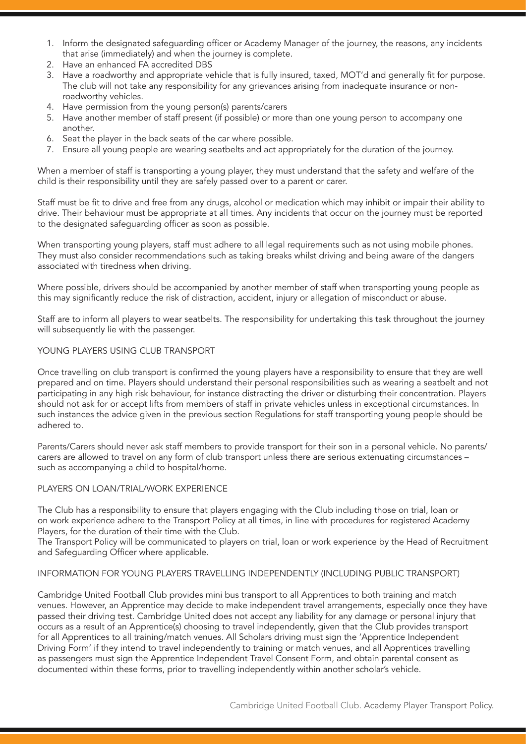- 1. Inform the designated safeguarding officer or Academy Manager of the journey, the reasons, any incidents that arise (immediately) and when the journey is complete.
- 2. Have an enhanced FA accredited DBS
- 3. Have a roadworthy and appropriate vehicle that is fully insured, taxed, MOT'd and generally fit for purpose. The club will not take any responsibility for any grievances arising from inadequate insurance or nonroadworthy vehicles.
- 4. Have permission from the young person(s) parents/carers
- 5. Have another member of staff present (if possible) or more than one young person to accompany one another.
- 6. Seat the player in the back seats of the car where possible.
- 7. Ensure all young people are wearing seatbelts and act appropriately for the duration of the journey.

When a member of staff is transporting a young player, they must understand that the safety and welfare of the child is their responsibility until they are safely passed over to a parent or carer.

Staff must be fit to drive and free from any drugs, alcohol or medication which may inhibit or impair their ability to drive. Their behaviour must be appropriate at all times. Any incidents that occur on the journey must be reported to the designated safeguarding officer as soon as possible.

When transporting young players, staff must adhere to all legal requirements such as not using mobile phones. They must also consider recommendations such as taking breaks whilst driving and being aware of the dangers associated with tiredness when driving.

Where possible, drivers should be accompanied by another member of staff when transporting young people as this may significantly reduce the risk of distraction, accident, injury or allegation of misconduct or abuse.

Staff are to inform all players to wear seatbelts. The responsibility for undertaking this task throughout the journey will subsequently lie with the passenger.

#### YOUNG PLAYERS USING CLUB TRANSPORT

Once travelling on club transport is confirmed the young players have a responsibility to ensure that they are well prepared and on time. Players should understand their personal responsibilities such as wearing a seatbelt and not participating in any high risk behaviour, for instance distracting the driver or disturbing their concentration. Players should not ask for or accept lifts from members of staff in private vehicles unless in exceptional circumstances. In such instances the advice given in the previous section Regulations for staff transporting young people should be adhered to.

Parents/Carers should never ask staff members to provide transport for their son in a personal vehicle. No parents/ carers are allowed to travel on any form of club transport unless there are serious extenuating circumstances – such as accompanying a child to hospital/home.

## PLAYERS ON LOAN/TRIAL/WORK EXPERIENCE

The Club has a responsibility to ensure that players engaging with the Club including those on trial, loan or on work experience adhere to the Transport Policy at all times, in line with procedures for registered Academy Players, for the duration of their time with the Club.

The Transport Policy will be communicated to players on trial, loan or work experience by the Head of Recruitment and Safeguarding Officer where applicable.

#### INFORMATION FOR YOUNG PLAYERS TRAVELLING INDEPENDENTLY (INCLUDING PUBLIC TRANSPORT)

Cambridge United Football Club provides mini bus transport to all Apprentices to both training and match venues. However, an Apprentice may decide to make independent travel arrangements, especially once they have passed their driving test. Cambridge United does not accept any liability for any damage or personal injury that occurs as a result of an Apprentice(s) choosing to travel independently, given that the Club provides transport for all Apprentices to all training/match venues. All Scholars driving must sign the 'Apprentice Independent Driving Form' if they intend to travel independently to training or match venues, and all Apprentices travelling as passengers must sign the Apprentice Independent Travel Consent Form, and obtain parental consent as documented within these forms, prior to travelling independently within another scholar's vehicle.